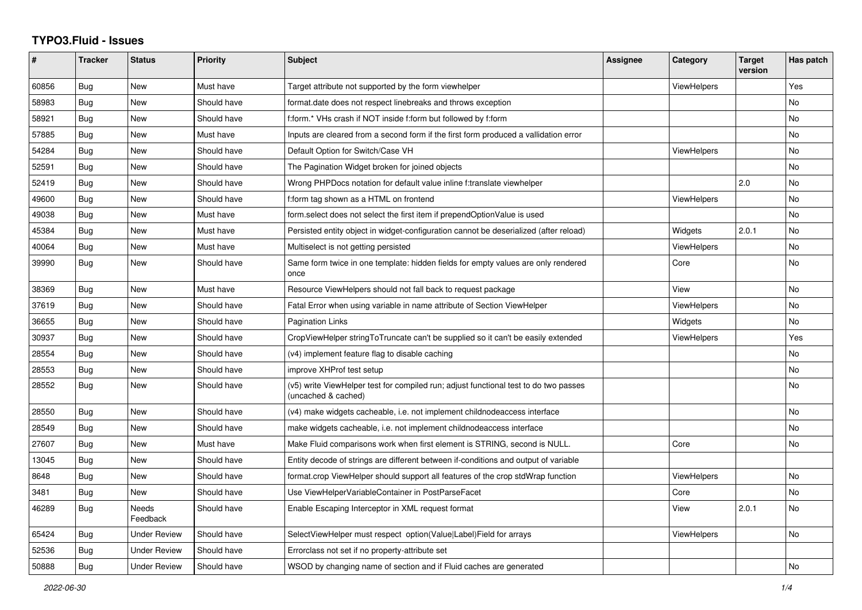## **TYPO3.Fluid - Issues**

| #     | <b>Tracker</b> | <b>Status</b>       | <b>Priority</b> | <b>Subject</b>                                                                                              | Assignee | Category           | <b>Target</b><br>version | Has patch |
|-------|----------------|---------------------|-----------------|-------------------------------------------------------------------------------------------------------------|----------|--------------------|--------------------------|-----------|
| 60856 | Bug            | New                 | Must have       | Target attribute not supported by the form viewhelper                                                       |          | ViewHelpers        |                          | Yes       |
| 58983 | Bug            | New                 | Should have     | format.date does not respect linebreaks and throws exception                                                |          |                    |                          | No        |
| 58921 | <b>Bug</b>     | New                 | Should have     | f:form.* VHs crash if NOT inside f:form but followed by f:form                                              |          |                    |                          | No        |
| 57885 | Bug            | New                 | Must have       | Inputs are cleared from a second form if the first form produced a vallidation error                        |          |                    |                          | <b>No</b> |
| 54284 | Bug            | New                 | Should have     | Default Option for Switch/Case VH                                                                           |          | ViewHelpers        |                          | No        |
| 52591 | Bug            | New                 | Should have     | The Pagination Widget broken for joined objects                                                             |          |                    |                          | No        |
| 52419 | Bug            | New                 | Should have     | Wrong PHPDocs notation for default value inline f:translate viewhelper                                      |          |                    | 2.0                      | No        |
| 49600 | Bug            | New                 | Should have     | f:form tag shown as a HTML on frontend                                                                      |          | <b>ViewHelpers</b> |                          | <b>No</b> |
| 49038 | <b>Bug</b>     | New                 | Must have       | form.select does not select the first item if prependOptionValue is used                                    |          |                    |                          | <b>No</b> |
| 45384 | Bug            | New                 | Must have       | Persisted entity object in widget-configuration cannot be deserialized (after reload)                       |          | Widgets            | 2.0.1                    | No        |
| 40064 | <b>Bug</b>     | <b>New</b>          | Must have       | Multiselect is not getting persisted                                                                        |          | <b>ViewHelpers</b> |                          | No        |
| 39990 | Bug            | New                 | Should have     | Same form twice in one template: hidden fields for empty values are only rendered<br>once                   |          | Core               |                          | No        |
| 38369 | Bug            | New                 | Must have       | Resource ViewHelpers should not fall back to request package                                                |          | View               |                          | No        |
| 37619 | <b>Bug</b>     | New                 | Should have     | Fatal Error when using variable in name attribute of Section ViewHelper                                     |          | <b>ViewHelpers</b> |                          | No        |
| 36655 | <b>Bug</b>     | New                 | Should have     | <b>Pagination Links</b>                                                                                     |          | Widgets            |                          | <b>No</b> |
| 30937 | Bug            | <b>New</b>          | Should have     | CropViewHelper stringToTruncate can't be supplied so it can't be easily extended                            |          | <b>ViewHelpers</b> |                          | Yes       |
| 28554 | <b>Bug</b>     | New                 | Should have     | (v4) implement feature flag to disable caching                                                              |          |                    |                          | No.       |
| 28553 | <b>Bug</b>     | New                 | Should have     | improve XHProf test setup                                                                                   |          |                    |                          | No        |
| 28552 | Bug            | New                 | Should have     | (v5) write ViewHelper test for compiled run; adjust functional test to do two passes<br>(uncached & cached) |          |                    |                          | No        |
| 28550 | Bug            | New                 | Should have     | (v4) make widgets cacheable, i.e. not implement childnodeaccess interface                                   |          |                    |                          | <b>No</b> |
| 28549 | <b>Bug</b>     | <b>New</b>          | Should have     | make widgets cacheable, i.e. not implement childnodeaccess interface                                        |          |                    |                          | <b>No</b> |
| 27607 | Bug            | New                 | Must have       | Make Fluid comparisons work when first element is STRING, second is NULL.                                   |          | Core               |                          | <b>No</b> |
| 13045 | Bug            | New                 | Should have     | Entity decode of strings are different between if-conditions and output of variable                         |          |                    |                          |           |
| 8648  | Bug            | <b>New</b>          | Should have     | format.crop ViewHelper should support all features of the crop stdWrap function                             |          | <b>ViewHelpers</b> |                          | No        |
| 3481  | Bug            | New                 | Should have     | Use ViewHelperVariableContainer in PostParseFacet                                                           |          | Core               |                          | <b>No</b> |
| 46289 | <b>Bug</b>     | Needs<br>Feedback   | Should have     | Enable Escaping Interceptor in XML request format                                                           |          | View               | 2.0.1                    | No        |
| 65424 | <b>Bug</b>     | Under Review        | Should have     | SelectViewHelper must respect option(Value Label)Field for arrays                                           |          | ViewHelpers        |                          | No        |
| 52536 | Bug            | <b>Under Review</b> | Should have     | Errorclass not set if no property-attribute set                                                             |          |                    |                          |           |
| 50888 | <b>Bug</b>     | <b>Under Review</b> | Should have     | WSOD by changing name of section and if Fluid caches are generated                                          |          |                    |                          | No        |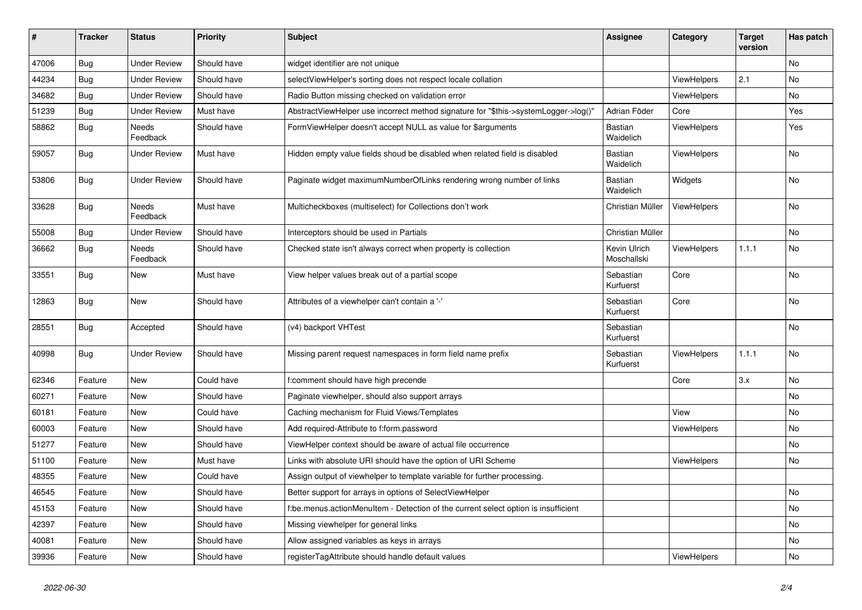| $\vert$ # | <b>Tracker</b> | <b>Status</b>       | <b>Priority</b> | <b>Subject</b>                                                                      | <b>Assignee</b>             | Category           | <b>Target</b><br>version | Has patch      |
|-----------|----------------|---------------------|-----------------|-------------------------------------------------------------------------------------|-----------------------------|--------------------|--------------------------|----------------|
| 47006     | Bug            | <b>Under Review</b> | Should have     | widget identifier are not unique                                                    |                             |                    |                          | <b>No</b>      |
| 44234     | Bug            | <b>Under Review</b> | Should have     | selectViewHelper's sorting does not respect locale collation                        |                             | ViewHelpers        | 2.1                      | <b>No</b>      |
| 34682     | <b>Bug</b>     | <b>Under Review</b> | Should have     | Radio Button missing checked on validation error                                    |                             | ViewHelpers        |                          | <b>No</b>      |
| 51239     | Bug            | <b>Under Review</b> | Must have       | AbstractViewHelper use incorrect method signature for "\$this->systemLogger->log()" | Adrian Föder                | Core               |                          | Yes            |
| 58862     | <b>Bug</b>     | Needs<br>Feedback   | Should have     | FormViewHelper doesn't accept NULL as value for \$arguments                         | Bastian<br>Waidelich        | ViewHelpers        |                          | Yes            |
| 59057     | Bug            | <b>Under Review</b> | Must have       | Hidden empty value fields shoud be disabled when related field is disabled          | <b>Bastian</b><br>Waidelich | <b>ViewHelpers</b> |                          | No             |
| 53806     | Bug            | <b>Under Review</b> | Should have     | Paginate widget maximumNumberOfLinks rendering wrong number of links                | Bastian<br>Waidelich        | Widgets            |                          | No             |
| 33628     | <b>Bug</b>     | Needs<br>Feedback   | Must have       | Multicheckboxes (multiselect) for Collections don't work                            | Christian Müller            | ViewHelpers        |                          | <b>No</b>      |
| 55008     | Bug            | <b>Under Review</b> | Should have     | Interceptors should be used in Partials                                             | Christian Müller            |                    |                          | <b>No</b>      |
| 36662     | Bug            | Needs<br>Feedback   | Should have     | Checked state isn't always correct when property is collection                      | Kevin Ulrich<br>Moschallski | <b>ViewHelpers</b> | 1.1.1                    | No             |
| 33551     | Bug            | New                 | Must have       | View helper values break out of a partial scope                                     | Sebastian<br>Kurfuerst      | Core               |                          | No             |
| 12863     | Bug            | New                 | Should have     | Attributes of a viewhelper can't contain a '-'                                      | Sebastian<br>Kurfuerst      | Core               |                          | <b>No</b>      |
| 28551     | Bug            | Accepted            | Should have     | (v4) backport VHTest                                                                | Sebastian<br>Kurfuerst      |                    |                          | <b>No</b>      |
| 40998     | Bug            | <b>Under Review</b> | Should have     | Missing parent request namespaces in form field name prefix                         | Sebastian<br>Kurfuerst      | ViewHelpers        | 1.1.1                    | No             |
| 62346     | Feature        | New                 | Could have      | f:comment should have high precende                                                 |                             | Core               | 3.x                      | <b>No</b>      |
| 60271     | Feature        | New                 | Should have     | Paginate viewhelper, should also support arrays                                     |                             |                    |                          | <b>No</b>      |
| 60181     | Feature        | New                 | Could have      | Caching mechanism for Fluid Views/Templates                                         |                             | View               |                          | No             |
| 60003     | Feature        | <b>New</b>          | Should have     | Add required-Attribute to f:form.password                                           |                             | <b>ViewHelpers</b> |                          | <b>No</b>      |
| 51277     | Feature        | New                 | Should have     | ViewHelper context should be aware of actual file occurrence                        |                             |                    |                          | N <sub>o</sub> |
| 51100     | Feature        | <b>New</b>          | Must have       | Links with absolute URI should have the option of URI Scheme                        |                             | <b>ViewHelpers</b> |                          | <b>No</b>      |
| 48355     | Feature        | New                 | Could have      | Assign output of viewhelper to template variable for further processing.            |                             |                    |                          |                |
| 46545     | Feature        | <b>New</b>          | Should have     | Better support for arrays in options of SelectViewHelper                            |                             |                    |                          | No             |
| 45153     | Feature        | New                 | Should have     | f:be.menus.actionMenuItem - Detection of the current select option is insufficient  |                             |                    |                          | <b>No</b>      |
| 42397     | Feature        | <b>New</b>          | Should have     | Missing viewhelper for general links                                                |                             |                    |                          | <b>No</b>      |
| 40081     | Feature        | <b>New</b>          | Should have     | Allow assigned variables as keys in arrays                                          |                             |                    |                          | <b>No</b>      |
| 39936     | Feature        | New                 | Should have     | registerTagAttribute should handle default values                                   |                             | ViewHelpers        |                          | No             |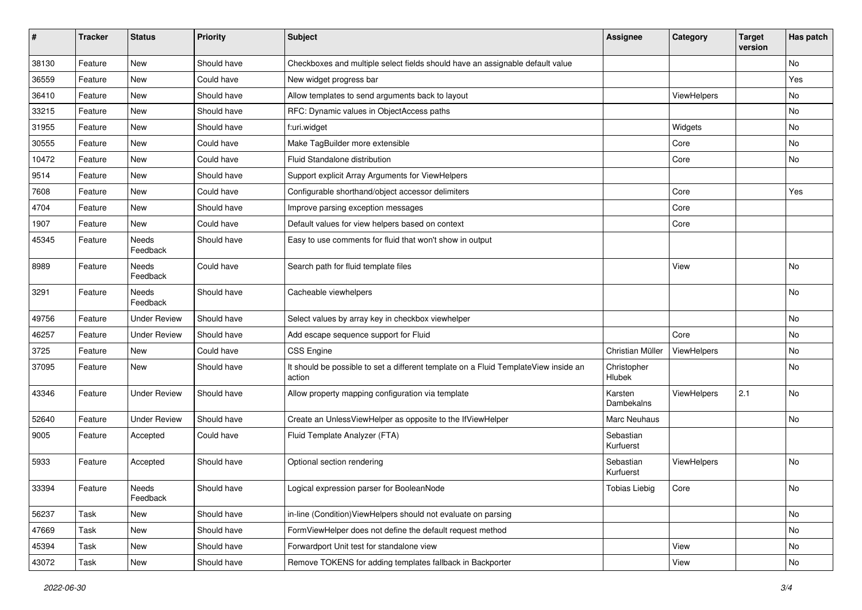| #     | <b>Tracker</b> | <b>Status</b>       | <b>Priority</b> | Subject                                                                                       | Assignee               | Category    | <b>Target</b><br>version | Has patch                    |
|-------|----------------|---------------------|-----------------|-----------------------------------------------------------------------------------------------|------------------------|-------------|--------------------------|------------------------------|
| 38130 | Feature        | New                 | Should have     | Checkboxes and multiple select fields should have an assignable default value                 |                        |             |                          | <b>No</b>                    |
| 36559 | Feature        | New                 | Could have      | New widget progress bar                                                                       |                        |             |                          | Yes                          |
| 36410 | Feature        | New                 | Should have     | Allow templates to send arguments back to layout                                              |                        | ViewHelpers |                          | No                           |
| 33215 | Feature        | New                 | Should have     | RFC: Dynamic values in ObjectAccess paths                                                     |                        |             |                          | No                           |
| 31955 | Feature        | New                 | Should have     | f:uri.widget                                                                                  |                        | Widgets     |                          | No                           |
| 30555 | Feature        | New                 | Could have      | Make TagBuilder more extensible                                                               |                        | Core        |                          | No                           |
| 10472 | Feature        | New                 | Could have      | Fluid Standalone distribution                                                                 |                        | Core        |                          | No                           |
| 9514  | Feature        | New                 | Should have     | Support explicit Array Arguments for ViewHelpers                                              |                        |             |                          |                              |
| 7608  | Feature        | New                 | Could have      | Configurable shorthand/object accessor delimiters                                             |                        | Core        |                          | Yes                          |
| 4704  | Feature        | New                 | Should have     | Improve parsing exception messages                                                            |                        | Core        |                          |                              |
| 1907  | Feature        | New                 | Could have      | Default values for view helpers based on context                                              |                        | Core        |                          |                              |
| 45345 | Feature        | Needs<br>Feedback   | Should have     | Easy to use comments for fluid that won't show in output                                      |                        |             |                          |                              |
| 8989  | Feature        | Needs<br>Feedback   | Could have      | Search path for fluid template files                                                          |                        | View        |                          | No                           |
| 3291  | Feature        | Needs<br>Feedback   | Should have     | Cacheable viewhelpers                                                                         |                        |             |                          | No                           |
| 49756 | Feature        | <b>Under Review</b> | Should have     | Select values by array key in checkbox viewhelper                                             |                        |             |                          | No                           |
| 46257 | Feature        | <b>Under Review</b> | Should have     | Add escape sequence support for Fluid                                                         |                        | Core        |                          | No                           |
| 3725  | Feature        | New                 | Could have      | <b>CSS Engine</b>                                                                             | Christian Müller       | ViewHelpers |                          | No                           |
| 37095 | Feature        | New                 | Should have     | It should be possible to set a different template on a Fluid TemplateView inside an<br>action | Christopher<br>Hlubek  |             |                          | No                           |
| 43346 | Feature        | <b>Under Review</b> | Should have     | Allow property mapping configuration via template                                             | Karsten<br>Dambekalns  | ViewHelpers | 2.1                      | No                           |
| 52640 | Feature        | <b>Under Review</b> | Should have     | Create an UnlessViewHelper as opposite to the IfViewHelper                                    | Marc Neuhaus           |             |                          | No                           |
| 9005  | Feature        | Accepted            | Could have      | Fluid Template Analyzer (FTA)                                                                 | Sebastian<br>Kurfuerst |             |                          |                              |
| 5933  | Feature        | Accepted            | Should have     | Optional section rendering                                                                    | Sebastian<br>Kurfuerst | ViewHelpers |                          | No                           |
| 33394 | Feature        | Needs<br>Feedback   | Should have     | Logical expression parser for BooleanNode                                                     | <b>Tobias Liebig</b>   | Core        |                          | $\operatorname{\mathsf{No}}$ |
| 56237 | Task           | New                 | Should have     | in-line (Condition)ViewHelpers should not evaluate on parsing                                 |                        |             |                          | No                           |
| 47669 | Task           | New                 | Should have     | FormViewHelper does not define the default request method                                     |                        |             |                          | No                           |
| 45394 | Task           | New                 | Should have     | Forwardport Unit test for standalone view                                                     |                        | View        |                          | No                           |
| 43072 | Task           | New                 | Should have     | Remove TOKENS for adding templates fallback in Backporter                                     |                        | View        |                          | No                           |